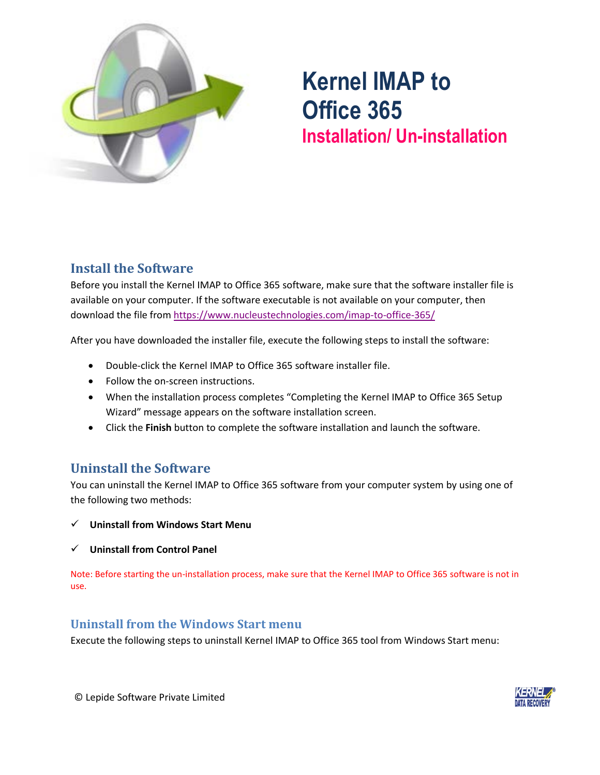

# **Kernel IMAP to Office 365 Installation/ Un-installation**

## **Install the Software**

Before you install the Kernel IMAP to Office 365 software, make sure that the software installer file is available on your computer. If the software executable is not available on your computer, then download the file from<https://www.nucleustechnologies.com/imap-to-office-365/>

After you have downloaded the installer file, execute the following steps to install the software:

- Double-click the Kernel IMAP to Office 365 software installer file.
- Follow the on-screen instructions.
- When the installation process completes "Completing the Kernel IMAP to Office 365 Setup Wizard" message appears on the software installation screen.
- Click the **Finish** button to complete the software installation and launch the software.

#### **Uninstall the Software**

You can uninstall the Kernel IMAP to Office 365 software from your computer system by using one of the following two methods:

- ✓ **Uninstall from Windows Start Menu**
- ✓ **Uninstall from Control Panel**

Note: Before starting the un-installation process, make sure that the Kernel IMAP to Office 365 software is not in use.

#### **Uninstall from the Windows Start menu**

Execute the following steps to uninstall Kernel IMAP to Office 365 tool from Windows Start menu: